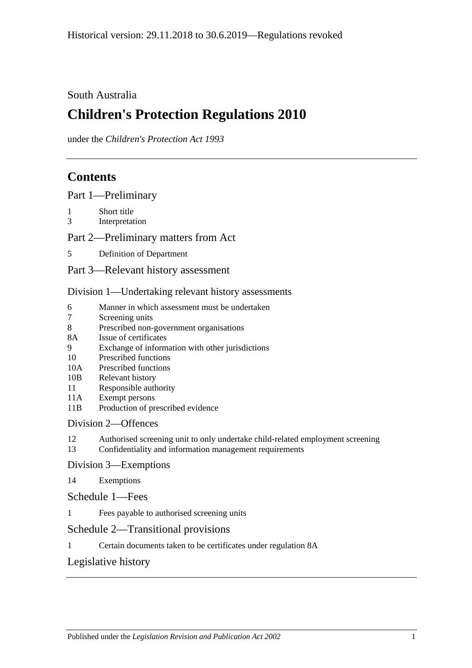### South Australia

# **Children's Protection Regulations 2010**

under the *Children's Protection Act 1993*

# **Contents**

[Part 1—Preliminary](#page-1-0)

- 1 [Short title](#page-1-1)
- 3 [Interpretation](#page-1-2)

[Part 2—Preliminary matters from Act](#page-2-0)

5 [Definition of Department](#page-2-1)

[Part 3—Relevant history assessment](#page-2-2)

[Division 1—Undertaking relevant history assessments](#page-2-3)

- 6 [Manner in which assessment must be undertaken](#page-2-4)<br>
5 Screening units
- [Screening units](#page-3-0)
- 8 [Prescribed non-government organisations](#page-3-1)
- 8A [Issue of certificates](#page-3-2)
- 9 [Exchange of information with other jurisdictions](#page-4-0)
- 10 [Prescribed functions](#page-4-1)
- 10A [Prescribed functions](#page-5-0)
- 10B [Relevant history](#page-5-1)
- 11 [Responsible authority](#page-5-2)
- 11A [Exempt persons](#page-6-0)
- 11B [Production of prescribed evidence](#page-6-1)

[Division 2—Offences](#page-7-0)

- 12 [Authorised screening unit to only undertake child-related employment screening](#page-7-1)
- 13 [Confidentiality and information management requirements](#page-7-2)
- [Division 3—Exemptions](#page-8-0)
- 14 [Exemptions](#page-8-1)
- [Schedule 1—Fees](#page-9-0)
- 1 [Fees payable to authorised screening units](#page-9-1)

### [Schedule 2—Transitional provisions](#page-9-2)

1 [Certain documents taken to be certificates under regulation](#page-9-3) 8A

### [Legislative history](#page-11-0)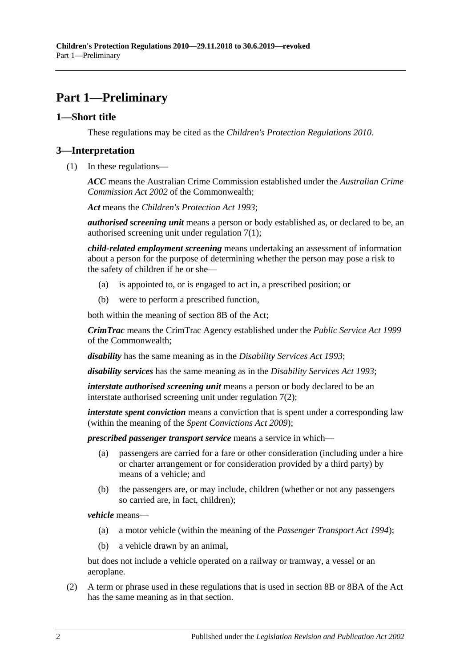# <span id="page-1-0"></span>**Part 1—Preliminary**

### <span id="page-1-1"></span>**1—Short title**

These regulations may be cited as the *Children's Protection Regulations 2010*.

### <span id="page-1-2"></span>**3—Interpretation**

(1) In these regulations—

*ACC* means the Australian Crime Commission established under the *Australian Crime Commission Act 2002* of the Commonwealth;

*Act* means the *[Children's Protection Act](http://www.legislation.sa.gov.au/index.aspx?action=legref&type=act&legtitle=Childrens%20Protection%20Act%201993) 1993*;

*authorised screening unit* means a person or body established as, or declared to be, an authorised screening unit under [regulation](#page-3-3) 7(1);

*child-related employment screening* means undertaking an assessment of information about a person for the purpose of determining whether the person may pose a risk to the safety of children if he or she—

- (a) is appointed to, or is engaged to act in, a prescribed position; or
- (b) were to perform a prescribed function,

both within the meaning of section 8B of the Act;

*CrimTrac* means the CrimTrac Agency established under the *Public Service Act 1999* of the Commonwealth;

*disability* has the same meaning as in the *[Disability Services Act](http://www.legislation.sa.gov.au/index.aspx?action=legref&type=act&legtitle=Disability%20Services%20Act%201993) 1993*;

*disability services* has the same meaning as in the *[Disability Services Act](http://www.legislation.sa.gov.au/index.aspx?action=legref&type=act&legtitle=Disability%20Services%20Act%201993) 1993*;

*interstate authorised screening unit* means a person or body declared to be an interstate authorised screening unit under [regulation](#page-3-4) 7(2);

*interstate spent conviction* means a conviction that is spent under a corresponding law (within the meaning of the *[Spent Convictions Act](http://www.legislation.sa.gov.au/index.aspx?action=legref&type=act&legtitle=Spent%20Convictions%20Act%202009) 2009*);

*prescribed passenger transport service* means a service in which—

- (a) passengers are carried for a fare or other consideration (including under a hire or charter arrangement or for consideration provided by a third party) by means of a vehicle; and
- (b) the passengers are, or may include, children (whether or not any passengers so carried are, in fact, children);

*vehicle* means—

- (a) a motor vehicle (within the meaning of the *[Passenger Transport Act](http://www.legislation.sa.gov.au/index.aspx?action=legref&type=act&legtitle=Passenger%20Transport%20Act%201994) 1994*);
- (b) a vehicle drawn by an animal,

but does not include a vehicle operated on a railway or tramway, a vessel or an aeroplane.

(2) A term or phrase used in these regulations that is used in section 8B or 8BA of the Act has the same meaning as in that section.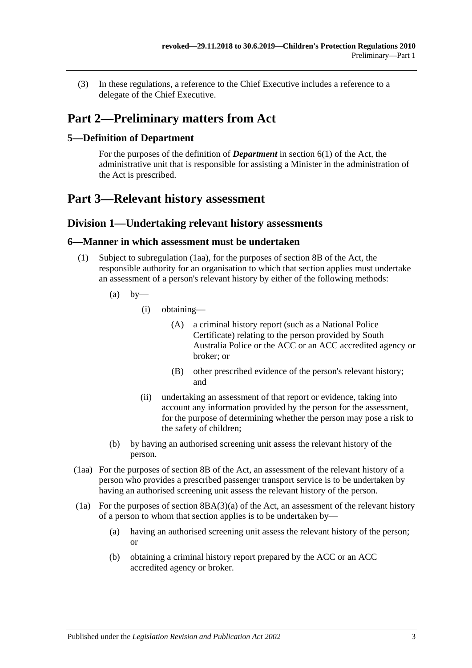(3) In these regulations, a reference to the Chief Executive includes a reference to a delegate of the Chief Executive.

## <span id="page-2-0"></span>**Part 2—Preliminary matters from Act**

### <span id="page-2-1"></span>**5—Definition of Department**

For the purposes of the definition of *Department* in section 6(1) of the Act, the administrative unit that is responsible for assisting a Minister in the administration of the Act is prescribed.

## <span id="page-2-3"></span><span id="page-2-2"></span>**Part 3—Relevant history assessment**

### **Division 1—Undertaking relevant history assessments**

### <span id="page-2-4"></span>**6—Manner in which assessment must be undertaken**

- (1) Subject to [subregulation](#page-2-5) (1aa), for the purposes of section 8B of the Act, the responsible authority for an organisation to which that section applies must undertake an assessment of a person's relevant history by either of the following methods:
	- $(a)$  by-
		- (i) obtaining—
			- (A) a criminal history report (such as a National Police Certificate) relating to the person provided by South Australia Police or the ACC or an ACC accredited agency or broker; or
			- (B) other prescribed evidence of the person's relevant history; and
		- (ii) undertaking an assessment of that report or evidence, taking into account any information provided by the person for the assessment, for the purpose of determining whether the person may pose a risk to the safety of children;
	- (b) by having an authorised screening unit assess the relevant history of the person.
- <span id="page-2-5"></span>(1aa) For the purposes of section 8B of the Act, an assessment of the relevant history of a person who provides a prescribed passenger transport service is to be undertaken by having an authorised screening unit assess the relevant history of the person.
- <span id="page-2-6"></span>(1a) For the purposes of section  $8BA(3)(a)$  of the Act, an assessment of the relevant history of a person to whom that section applies is to be undertaken by—
	- (a) having an authorised screening unit assess the relevant history of the person; or
	- (b) obtaining a criminal history report prepared by the ACC or an ACC accredited agency or broker.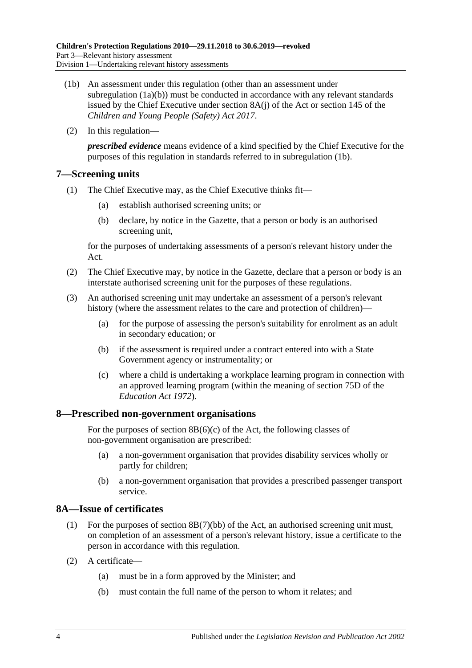- <span id="page-3-5"></span>(1b) An assessment under this regulation (other than an assessment under [subregulation](#page-2-6) (1a)(b)) must be conducted in accordance with any relevant standards issued by the Chief Executive under section 8A(j) of the Act or section 145 of the *[Children and Young People \(Safety\) Act](http://www.legislation.sa.gov.au/index.aspx?action=legref&type=act&legtitle=Children%20and%20Young%20People%20(Safety)%20Act%202017) 2017*.
- (2) In this regulation—

*prescribed evidence* means evidence of a kind specified by the Chief Executive for the purposes of this regulation in standards referred to in [subregulation](#page-3-5) (1b).

### <span id="page-3-3"></span><span id="page-3-0"></span>**7—Screening units**

- <span id="page-3-6"></span>(1) The Chief Executive may, as the Chief Executive thinks fit—
	- (a) establish authorised screening units; or
	- (b) declare, by notice in the Gazette, that a person or body is an authorised screening unit,

for the purposes of undertaking assessments of a person's relevant history under the Act.

- <span id="page-3-4"></span>(2) The Chief Executive may, by notice in the Gazette, declare that a person or body is an interstate authorised screening unit for the purposes of these regulations.
- <span id="page-3-7"></span>(3) An authorised screening unit may undertake an assessment of a person's relevant history (where the assessment relates to the care and protection of children)—
	- (a) for the purpose of assessing the person's suitability for enrolment as an adult in secondary education; or
	- (b) if the assessment is required under a contract entered into with a State Government agency or instrumentality; or
	- (c) where a child is undertaking a workplace learning program in connection with an approved learning program (within the meaning of section 75D of the *[Education Act](http://www.legislation.sa.gov.au/index.aspx?action=legref&type=act&legtitle=Education%20Act%201972) 1972*).

### <span id="page-3-1"></span>**8—Prescribed non-government organisations**

For the purposes of section  $8B(6)(c)$  of the Act, the following classes of non-government organisation are prescribed:

- (a) a non-government organisation that provides disability services wholly or partly for children;
- (b) a non-government organisation that provides a prescribed passenger transport service.

### <span id="page-3-2"></span>**8A—Issue of certificates**

- (1) For the purposes of section 8B(7)(bb) of the Act, an authorised screening unit must, on completion of an assessment of a person's relevant history, issue a certificate to the person in accordance with this regulation.
- (2) A certificate—
	- (a) must be in a form approved by the Minister; and
	- (b) must contain the full name of the person to whom it relates; and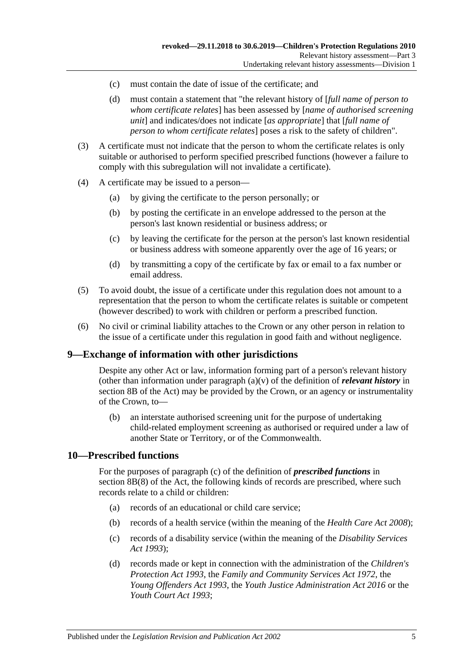- (c) must contain the date of issue of the certificate; and
- (d) must contain a statement that "the relevant history of [*full name of person to whom certificate relates*] has been assessed by [*name of authorised screening unit*] and indicates/does not indicate [*as appropriate*] that [*full name of person to whom certificate relates*] poses a risk to the safety of children".
- (3) A certificate must not indicate that the person to whom the certificate relates is only suitable or authorised to perform specified prescribed functions (however a failure to comply with this subregulation will not invalidate a certificate).
- (4) A certificate may be issued to a person—
	- (a) by giving the certificate to the person personally; or
	- (b) by posting the certificate in an envelope addressed to the person at the person's last known residential or business address; or
	- (c) by leaving the certificate for the person at the person's last known residential or business address with someone apparently over the age of 16 years; or
	- (d) by transmitting a copy of the certificate by fax or email to a fax number or email address.
- (5) To avoid doubt, the issue of a certificate under this regulation does not amount to a representation that the person to whom the certificate relates is suitable or competent (however described) to work with children or perform a prescribed function.
- (6) No civil or criminal liability attaches to the Crown or any other person in relation to the issue of a certificate under this regulation in good faith and without negligence.

### <span id="page-4-0"></span>**9—Exchange of information with other jurisdictions**

Despite any other Act or law, information forming part of a person's relevant history (other than information under paragraph (a)(v) of the definition of *relevant history* in section 8B of the Act) may be provided by the Crown, or an agency or instrumentality of the Crown, to—

(b) an interstate authorised screening unit for the purpose of undertaking child-related employment screening as authorised or required under a law of another State or Territory, or of the Commonwealth.

#### <span id="page-4-1"></span>**10—Prescribed functions**

For the purposes of paragraph (c) of the definition of *prescribed functions* in section 8B(8) of the Act, the following kinds of records are prescribed, where such records relate to a child or children:

- (a) records of an educational or child care service;
- (b) records of a health service (within the meaning of the *[Health Care Act](http://www.legislation.sa.gov.au/index.aspx?action=legref&type=act&legtitle=Health%20Care%20Act%202008) 2008*);
- (c) records of a disability service (within the meaning of the *[Disability Services](http://www.legislation.sa.gov.au/index.aspx?action=legref&type=act&legtitle=Disability%20Services%20Act%201993)  Act [1993](http://www.legislation.sa.gov.au/index.aspx?action=legref&type=act&legtitle=Disability%20Services%20Act%201993)*);
- (d) records made or kept in connection with the administration of the *[Children's](http://www.legislation.sa.gov.au/index.aspx?action=legref&type=act&legtitle=Childrens%20Protection%20Act%201993)  [Protection Act](http://www.legislation.sa.gov.au/index.aspx?action=legref&type=act&legtitle=Childrens%20Protection%20Act%201993) 1993*, the *[Family and Community Services Act](http://www.legislation.sa.gov.au/index.aspx?action=legref&type=act&legtitle=Family%20and%20Community%20Services%20Act%201972) 1972*, the *[Young Offenders Act](http://www.legislation.sa.gov.au/index.aspx?action=legref&type=act&legtitle=Young%20Offenders%20Act%201993) 1993*, the *[Youth Justice Administration Act](http://www.legislation.sa.gov.au/index.aspx?action=legref&type=act&legtitle=Youth%20Justice%20Administration%20Act%202016) 2016* or the *[Youth Court Act](http://www.legislation.sa.gov.au/index.aspx?action=legref&type=act&legtitle=Youth%20Court%20Act%201993) 1993*;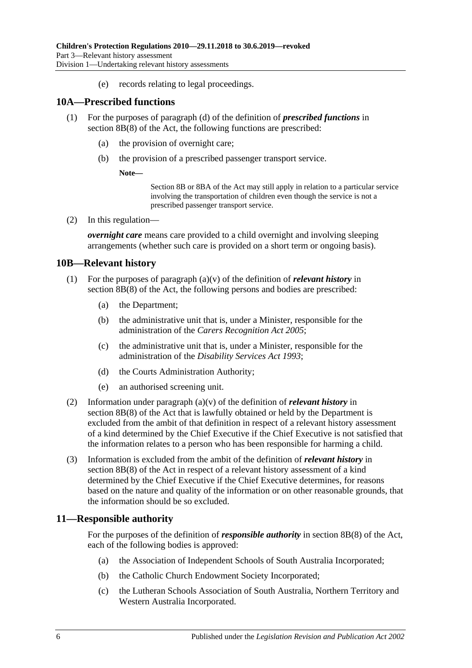(e) records relating to legal proceedings.

### <span id="page-5-0"></span>**10A—Prescribed functions**

- (1) For the purposes of paragraph (d) of the definition of *prescribed functions* in section 8B(8) of the Act, the following functions are prescribed:
	- (a) the provision of overnight care;
	- (b) the provision of a prescribed passenger transport service.

#### **Note—**

Section 8B or 8BA of the Act may still apply in relation to a particular service involving the transportation of children even though the service is not a prescribed passenger transport service.

(2) In this regulation—

*overnight care* means care provided to a child overnight and involving sleeping arrangements (whether such care is provided on a short term or ongoing basis).

### <span id="page-5-1"></span>**10B—Relevant history**

- (1) For the purposes of paragraph (a)(v) of the definition of *relevant history* in section 8B(8) of the Act, the following persons and bodies are prescribed:
	- (a) the Department;
	- (b) the administrative unit that is, under a Minister, responsible for the administration of the *[Carers Recognition Act](http://www.legislation.sa.gov.au/index.aspx?action=legref&type=act&legtitle=Carers%20Recognition%20Act%202005) 2005*;
	- (c) the administrative unit that is, under a Minister, responsible for the administration of the *[Disability Services Act](http://www.legislation.sa.gov.au/index.aspx?action=legref&type=act&legtitle=Disability%20Services%20Act%201993) 1993*;
	- (d) the Courts Administration Authority;
	- (e) an authorised screening unit.
- (2) Information under paragraph (a)(v) of the definition of *relevant history* in section 8B(8) of the Act that is lawfully obtained or held by the Department is excluded from the ambit of that definition in respect of a relevant history assessment of a kind determined by the Chief Executive if the Chief Executive is not satisfied that the information relates to a person who has been responsible for harming a child.
- (3) Information is excluded from the ambit of the definition of *relevant history* in section 8B(8) of the Act in respect of a relevant history assessment of a kind determined by the Chief Executive if the Chief Executive determines, for reasons based on the nature and quality of the information or on other reasonable grounds, that the information should be so excluded.

### <span id="page-5-2"></span>**11—Responsible authority**

For the purposes of the definition of *responsible authority* in section 8B(8) of the Act, each of the following bodies is approved:

- (a) the Association of Independent Schools of South Australia Incorporated;
- (b) the Catholic Church Endowment Society Incorporated;
- (c) the Lutheran Schools Association of South Australia, Northern Territory and Western Australia Incorporated.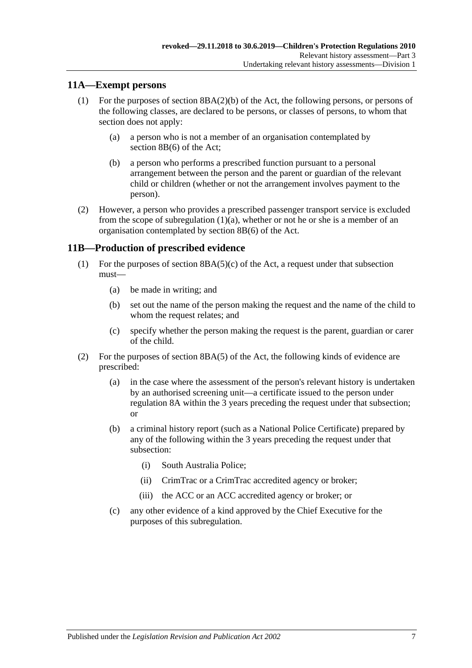### <span id="page-6-0"></span>**11A—Exempt persons**

- <span id="page-6-2"></span>(1) For the purposes of section 8BA(2)(b) of the Act, the following persons, or persons of the following classes, are declared to be persons, or classes of persons, to whom that section does not apply:
	- (a) a person who is not a member of an organisation contemplated by section 8B(6) of the Act;
	- (b) a person who performs a prescribed function pursuant to a personal arrangement between the person and the parent or guardian of the relevant child or children (whether or not the arrangement involves payment to the person).
- (2) However, a person who provides a prescribed passenger transport service is excluded from the scope of [subregulation](#page-6-2)  $(1)(a)$ , whether or not he or she is a member of an organisation contemplated by section 8B(6) of the Act.

### <span id="page-6-1"></span>**11B—Production of prescribed evidence**

- (1) For the purposes of section  $8BA(5)(c)$  of the Act, a request under that subsection must—
	- (a) be made in writing; and
	- (b) set out the name of the person making the request and the name of the child to whom the request relates; and
	- (c) specify whether the person making the request is the parent, guardian or carer of the child.
- (2) For the purposes of section 8BA(5) of the Act, the following kinds of evidence are prescribed:
	- (a) in the case where the assessment of the person's relevant history is undertaken by an authorised screening unit—a certificate issued to the person under [regulation](#page-3-2) 8A within the 3 years preceding the request under that subsection; or
	- (b) a criminal history report (such as a National Police Certificate) prepared by any of the following within the 3 years preceding the request under that subsection:
		- (i) South Australia Police;
		- (ii) CrimTrac or a CrimTrac accredited agency or broker;
		- (iii) the ACC or an ACC accredited agency or broker; or
	- (c) any other evidence of a kind approved by the Chief Executive for the purposes of this subregulation.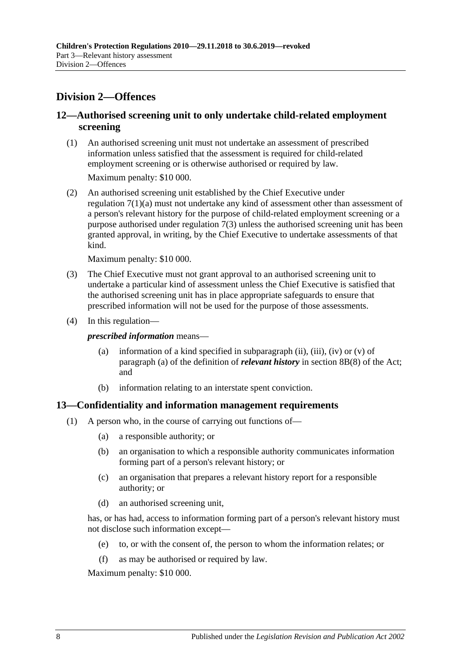## <span id="page-7-0"></span>**Division 2—Offences**

### <span id="page-7-1"></span>**12—Authorised screening unit to only undertake child-related employment screening**

- (1) An authorised screening unit must not undertake an assessment of prescribed information unless satisfied that the assessment is required for child-related employment screening or is otherwise authorised or required by law. Maximum penalty: \$10 000.
- (2) An authorised screening unit established by the Chief Executive under [regulation](#page-3-6) 7(1)(a) must not undertake any kind of assessment other than assessment of a person's relevant history for the purpose of child-related employment screening or a purpose authorised under [regulation](#page-3-7)  $7(3)$  unless the authorised screening unit has been granted approval, in writing, by the Chief Executive to undertake assessments of that kind.

Maximum penalty: \$10 000.

- (3) The Chief Executive must not grant approval to an authorised screening unit to undertake a particular kind of assessment unless the Chief Executive is satisfied that the authorised screening unit has in place appropriate safeguards to ensure that prescribed information will not be used for the purpose of those assessments.
- (4) In this regulation—

*prescribed information* means—

- (a) information of a kind specified in subparagraph (ii), (iii), (iv) or (v) of paragraph (a) of the definition of *relevant history* in section 8B(8) of the Act; and
- (b) information relating to an interstate spent conviction.

#### <span id="page-7-2"></span>**13—Confidentiality and information management requirements**

- (1) A person who, in the course of carrying out functions of—
	- (a) a responsible authority; or
	- (b) an organisation to which a responsible authority communicates information forming part of a person's relevant history; or
	- (c) an organisation that prepares a relevant history report for a responsible authority; or
	- (d) an authorised screening unit,

has, or has had, access to information forming part of a person's relevant history must not disclose such information except—

- (e) to, or with the consent of, the person to whom the information relates; or
- (f) as may be authorised or required by law.

Maximum penalty: \$10 000.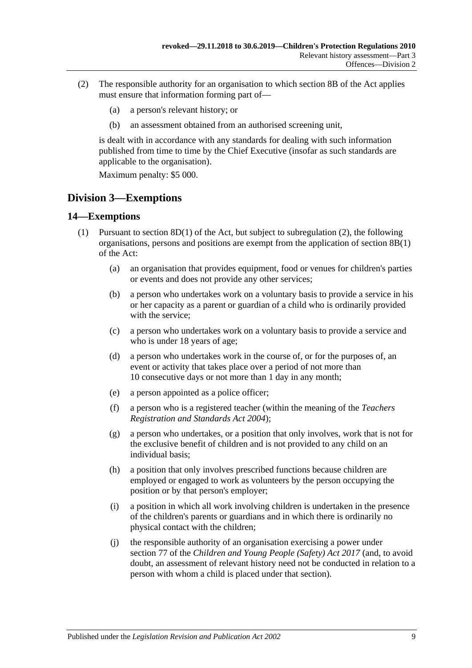- (2) The responsible authority for an organisation to which section 8B of the Act applies must ensure that information forming part of—
	- (a) a person's relevant history; or
	- (b) an assessment obtained from an authorised screening unit,

is dealt with in accordance with any standards for dealing with such information published from time to time by the Chief Executive (insofar as such standards are applicable to the organisation).

Maximum penalty: \$5 000.

### <span id="page-8-0"></span>**Division 3—Exemptions**

### <span id="page-8-2"></span><span id="page-8-1"></span>**14—Exemptions**

- <span id="page-8-5"></span><span id="page-8-4"></span><span id="page-8-3"></span>(1) Pursuant to section  $8D(1)$  of the Act, but subject to [subregulation](#page-9-4) (2), the following organisations, persons and positions are exempt from the application of section 8B(1) of the Act:
	- (a) an organisation that provides equipment, food or venues for children's parties or events and does not provide any other services;
	- (b) a person who undertakes work on a voluntary basis to provide a service in his or her capacity as a parent or guardian of a child who is ordinarily provided with the service;
	- (c) a person who undertakes work on a voluntary basis to provide a service and who is under 18 years of age;
	- (d) a person who undertakes work in the course of, or for the purposes of, an event or activity that takes place over a period of not more than 10 consecutive days or not more than 1 day in any month;
	- (e) a person appointed as a police officer;
	- (f) a person who is a registered teacher (within the meaning of the *[Teachers](http://www.legislation.sa.gov.au/index.aspx?action=legref&type=act&legtitle=Teachers%20Registration%20and%20Standards%20Act%202004)  [Registration and Standards Act](http://www.legislation.sa.gov.au/index.aspx?action=legref&type=act&legtitle=Teachers%20Registration%20and%20Standards%20Act%202004) 2004*);
	- (g) a person who undertakes, or a position that only involves, work that is not for the exclusive benefit of children and is not provided to any child on an individual basis;
	- (h) a position that only involves prescribed functions because children are employed or engaged to work as volunteers by the person occupying the position or by that person's employer;
	- (i) a position in which all work involving children is undertaken in the presence of the children's parents or guardians and in which there is ordinarily no physical contact with the children;
	- (j) the responsible authority of an organisation exercising a power under section 77 of the *[Children and Young People \(Safety\) Act](http://www.legislation.sa.gov.au/index.aspx?action=legref&type=act&legtitle=Children%20and%20Young%20People%20(Safety)%20Act%202017) 2017* (and, to avoid doubt, an assessment of relevant history need not be conducted in relation to a person with whom a child is placed under that section).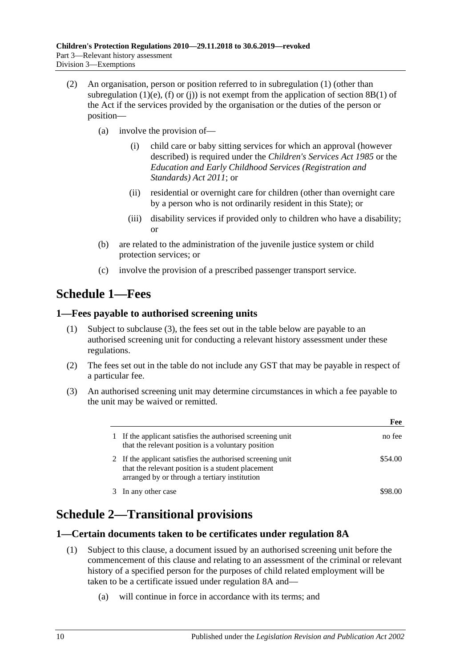- <span id="page-9-4"></span>(2) An organisation, person or position referred to in [subregulation](#page-8-2) (1) (other than [subregulation](#page-8-3) (1)(e), [\(f\)](#page-8-4) or [\(j\)\)](#page-8-5) is not exempt from the application of section 8B(1) of the Act if the services provided by the organisation or the duties of the person or position—
	- (a) involve the provision of—
		- (i) child care or baby sitting services for which an approval (however described) is required under the *[Children's Services Act](http://www.legislation.sa.gov.au/index.aspx?action=legref&type=act&legtitle=Childrens%20Services%20Act%201985) 1985* or the *[Education and Early Childhood Services \(Registration and](http://www.legislation.sa.gov.au/index.aspx?action=legref&type=act&legtitle=Education%20and%20Early%20Childhood%20Services%20(Registration%20and%20Standards)%20Act%202011)  [Standards\) Act](http://www.legislation.sa.gov.au/index.aspx?action=legref&type=act&legtitle=Education%20and%20Early%20Childhood%20Services%20(Registration%20and%20Standards)%20Act%202011) 2011*; or
		- (ii) residential or overnight care for children (other than overnight care by a person who is not ordinarily resident in this State); or
		- (iii) disability services if provided only to children who have a disability; or
	- (b) are related to the administration of the juvenile justice system or child protection services; or
	- (c) involve the provision of a prescribed passenger transport service.

## <span id="page-9-0"></span>**Schedule 1—Fees**

### <span id="page-9-1"></span>**1—Fees payable to authorised screening units**

- (1) Subject to [subclause](#page-9-5) (3), the fees set out in the table below are payable to an authorised screening unit for conducting a relevant history assessment under these regulations.
- (2) The fees set out in the table do not include any GST that may be payable in respect of a particular fee.
- <span id="page-9-5"></span>(3) An authorised screening unit may determine circumstances in which a fee payable to the unit may be waived or remitted.

|                                                                                                                                                                  | Fee     |
|------------------------------------------------------------------------------------------------------------------------------------------------------------------|---------|
| If the applicant satisfies the authorised screening unit<br>that the relevant position is a voluntary position                                                   | no fee  |
| 2 If the applicant satisfies the authorised screening unit<br>that the relevant position is a student placement<br>arranged by or through a tertiary institution | \$54.00 |
| 3 In any other case                                                                                                                                              | \$98.00 |

# <span id="page-9-2"></span>**Schedule 2—Transitional provisions**

### <span id="page-9-6"></span><span id="page-9-3"></span>**1—Certain documents taken to be certificates under regulation 8A**

- (1) Subject to this clause, a document issued by an authorised screening unit before the commencement of this clause and relating to an assessment of the criminal or relevant history of a specified person for the purposes of child related employment will be taken to be a certificate issued under [regulation](#page-3-2) 8A and—
	- (a) will continue in force in accordance with its terms; and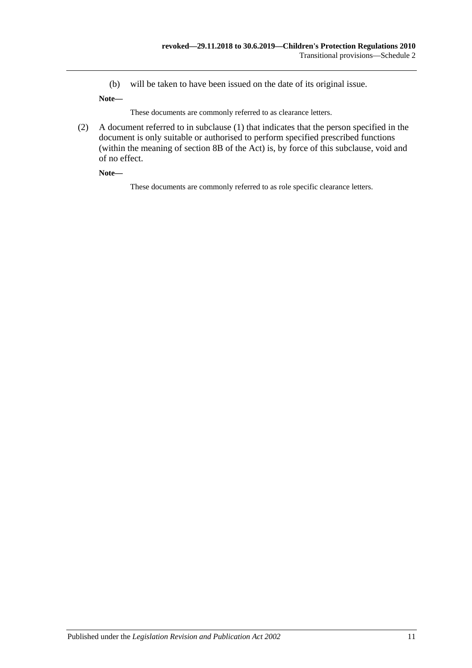(b) will be taken to have been issued on the date of its original issue.

**Note—**

These documents are commonly referred to as clearance letters.

(2) A document referred to in [subclause](#page-9-6) (1) that indicates that the person specified in the document is only suitable or authorised to perform specified prescribed functions (within the meaning of section 8B of the Act) is, by force of this subclause, void and of no effect.

**Note—**

These documents are commonly referred to as role specific clearance letters.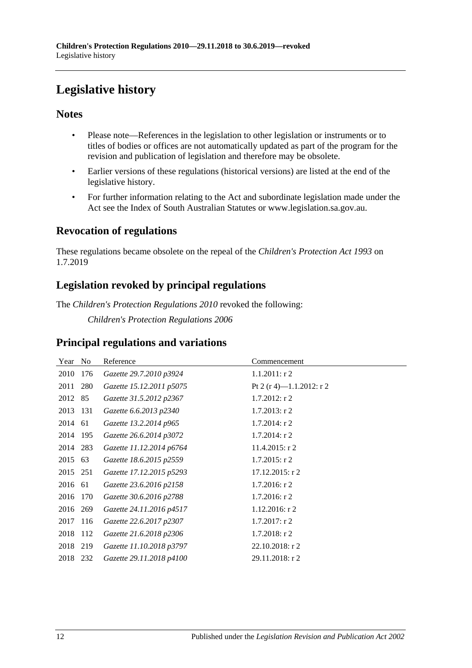# <span id="page-11-0"></span>**Legislative history**

### **Notes**

- Please note—References in the legislation to other legislation or instruments or to titles of bodies or offices are not automatically updated as part of the program for the revision and publication of legislation and therefore may be obsolete.
- Earlier versions of these regulations (historical versions) are listed at the end of the legislative history.
- For further information relating to the Act and subordinate legislation made under the Act see the Index of South Australian Statutes or www.legislation.sa.gov.au.

## **Revocation of regulations**

These regulations became obsolete on the repeal of the *[Children's Protection Act](http://www.legislation.sa.gov.au/index.aspx?action=legref&type=act&legtitle=Childrens%20Protection%20Act%201993) 1993* on 1.7.2019

## **Legislation revoked by principal regulations**

The *Children's Protection Regulations 2010* revoked the following:

*Children's Protection Regulations 2006*

### **Principal regulations and variations**

| Year No  |     | Reference                | Commencement             |
|----------|-----|--------------------------|--------------------------|
| 2010     | 176 | Gazette 29.7.2010 p3924  | $1.1.2011:$ r 2          |
| 2011     | 280 | Gazette 15.12.2011 p5075 | Pt 2 (r 4)-1.1.2012: r 2 |
| 2012 85  |     | Gazette 31.5.2012 p2367  | $1.7.2012$ : r 2         |
| 2013 131 |     | Gazette 6.6.2013 p2340   | $1.7.2013$ : r 2         |
| 2014 61  |     | Gazette 13.2.2014 p965   | $1.7.2014$ : r 2         |
| 2014     | 195 | Gazette 26.6.2014 p3072  | $1.7.2014$ : r 2         |
| 2014 283 |     | Gazette 11.12.2014 p6764 | $11.4.2015$ : r 2        |
| 2015     | 63  | Gazette 18.6.2015 p2559  | $1.7.2015$ : r 2         |
| 2015 251 |     | Gazette 17.12.2015 p5293 | $17.12.2015$ : r 2       |
| 2016 61  |     | Gazette 23.6.2016 p2158  | $1.7.2016$ : r 2         |
| 2016     | 170 | Gazette 30.6.2016 p2788  | $1.7.2016$ : r 2         |
| 2016     | 269 | Gazette 24.11.2016 p4517 | $1.12.2016$ : r 2        |
| 2017     | 116 | Gazette 22.6.2017 p2307  | $1.7.2017:$ r 2          |
| 2018     | 112 | Gazette 21.6.2018 p2306  | $1.7.2018$ : r 2         |
| 2018     | 219 | Gazette 11.10.2018 p3797 | $22.10.2018$ : r 2       |
| 2018     | 232 | Gazette 29.11.2018 p4100 | 29.11.2018: r 2          |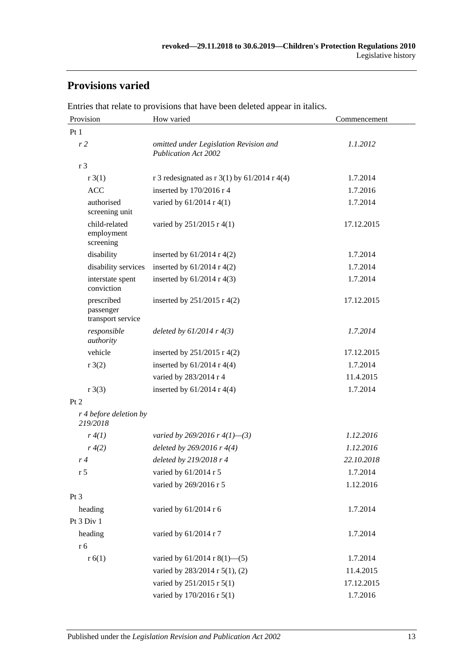# **Provisions varied**

| Provision                                    | How varied                                                            | Commencement |
|----------------------------------------------|-----------------------------------------------------------------------|--------------|
| Pt1                                          |                                                                       |              |
| r <sub>2</sub>                               | omitted under Legislation Revision and<br><b>Publication Act 2002</b> | 1.1.2012     |
| r <sub>3</sub>                               |                                                                       |              |
| r3(1)                                        | r 3 redesignated as r 3(1) by $61/2014$ r 4(4)                        | 1.7.2014     |
| <b>ACC</b>                                   | inserted by 170/2016 r 4                                              | 1.7.2016     |
| authorised<br>screening unit                 | varied by 61/2014 r 4(1)                                              | 1.7.2014     |
| child-related<br>employment<br>screening     | varied by 251/2015 r 4(1)                                             | 17.12.2015   |
| disability                                   | inserted by $61/2014$ r 4(2)                                          | 1.7.2014     |
| disability services                          | inserted by $61/2014$ r 4(2)                                          | 1.7.2014     |
| interstate spent<br>conviction               | inserted by $61/2014$ r 4(3)                                          | 1.7.2014     |
| prescribed<br>passenger<br>transport service | inserted by $251/2015$ r 4(2)                                         | 17.12.2015   |
| responsible<br>authority                     | deleted by $61/2014$ r $4(3)$                                         | 1.7.2014     |
| vehicle                                      | inserted by $251/2015$ r 4(2)                                         | 17.12.2015   |
| r3(2)                                        | inserted by $61/2014$ r 4(4)                                          | 1.7.2014     |
|                                              | varied by 283/2014 r 4                                                | 11.4.2015    |
| r3(3)                                        | inserted by $61/2014$ r 4(4)                                          | 1.7.2014     |
| Pt 2                                         |                                                                       |              |
| r 4 before deletion by<br>219/2018           |                                                                       |              |
| r(4)                                         | varied by 269/2016 r 4(1)–(3)                                         | 1.12.2016    |
| r(4(2)                                       | deleted by $269/2016$ r $4(4)$                                        | 1.12.2016    |
| r4                                           | deleted by 219/2018 r 4                                               | 22.10.2018   |
| r <sub>5</sub>                               | varied by 61/2014 r 5                                                 | 1.7.2014     |
|                                              | varied by 269/2016 r 5                                                | 1.12.2016    |
| Pt 3                                         |                                                                       |              |
| heading                                      | varied by 61/2014 r 6                                                 | 1.7.2014     |
| Pt 3 Div 1                                   |                                                                       |              |
| heading                                      | varied by 61/2014 r 7                                                 | 1.7.2014     |
| r 6                                          |                                                                       |              |
| r(6(1))                                      | varied by $61/2014$ r $8(1)$ —(5)                                     | 1.7.2014     |
|                                              | varied by 283/2014 r 5(1), (2)                                        | 11.4.2015    |
|                                              | varied by 251/2015 r 5(1)                                             | 17.12.2015   |
|                                              | varied by 170/2016 r 5(1)                                             | 1.7.2016     |

Entries that relate to provisions that have been deleted appear in italics.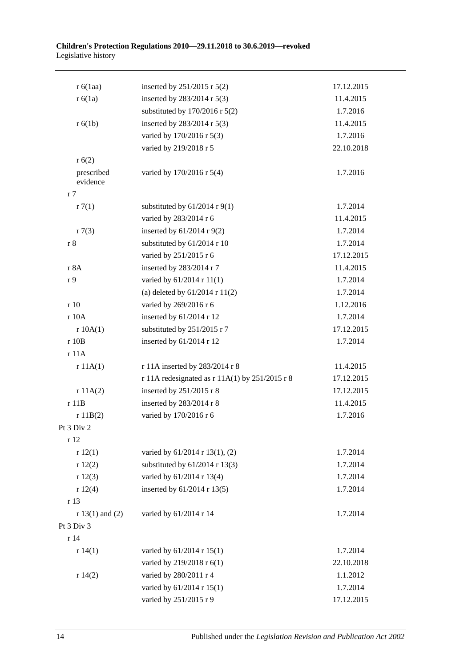#### **Children's Protection Regulations 2010—29.11.2018 to 30.6.2019—revoked** Legislative history

| r 6(1aa)               | inserted by $251/2015$ r $5(2)$                  | 17.12.2015 |
|------------------------|--------------------------------------------------|------------|
| r 6(1a)                | inserted by $283/2014$ r $5(3)$                  | 11.4.2015  |
|                        | substituted by $170/2016$ r $5(2)$               | 1.7.2016   |
| r 6(1b)                | inserted by $283/2014$ r $5(3)$                  | 11.4.2015  |
|                        | varied by 170/2016 r 5(3)                        | 1.7.2016   |
|                        | varied by 219/2018 r 5                           | 22.10.2018 |
| r(6(2))                |                                                  |            |
| prescribed<br>evidence | varied by 170/2016 r 5(4)                        | 1.7.2016   |
| r <sub>7</sub>         |                                                  |            |
| r7(1)                  | substituted by $61/2014$ r $9(1)$                | 1.7.2014   |
|                        | varied by 283/2014 r 6                           | 11.4.2015  |
| r7(3)                  | inserted by $61/2014$ r $9(2)$                   | 1.7.2014   |
| r8                     | substituted by 61/2014 r 10                      | 1.7.2014   |
|                        | varied by 251/2015 r 6                           | 17.12.2015 |
| r 8A                   | inserted by 283/2014 r 7                         | 11.4.2015  |
| r 9                    | varied by 61/2014 r 11(1)                        | 1.7.2014   |
|                        | (a) deleted by $61/2014$ r $11(2)$               | 1.7.2014   |
| r10                    | varied by 269/2016 r 6                           | 1.12.2016  |
| r 10A                  | inserted by 61/2014 r 12                         | 1.7.2014   |
| r 10A(1)               | substituted by 251/2015 r 7                      | 17.12.2015 |
| r 10B                  | inserted by 61/2014 r 12                         | 1.7.2014   |
| r 11A                  |                                                  |            |
| r 11A(1)               | r 11A inserted by 283/2014 r 8                   | 11.4.2015  |
|                        | r 11A redesignated as $r 11A(1)$ by 251/2015 r 8 | 17.12.2015 |
| r 11A(2)               | inserted by 251/2015 r 8                         | 17.12.2015 |
| r 11B                  | inserted by 283/2014 r 8                         | 11.4.2015  |
| r 11B(2)               | varied by 170/2016 r 6                           | 1.7.2016   |
| Pt $3$ Div $2$         |                                                  |            |
| r 12                   |                                                  |            |
| r 12(1)                | varied by 61/2014 r 13(1), (2)                   | 1.7.2014   |
| r12(2)                 | substituted by $61/2014$ r 13(3)                 | 1.7.2014   |
| r12(3)                 | varied by 61/2014 r 13(4)                        | 1.7.2014   |
| r 12(4)                | inserted by 61/2014 r 13(5)                      | 1.7.2014   |
| r 13                   |                                                  |            |
| $r 13(1)$ and (2)      | varied by 61/2014 r 14                           | 1.7.2014   |
| Pt 3 Div 3             |                                                  |            |
| r14                    |                                                  |            |
| r 14(1)                | varied by 61/2014 r 15(1)                        | 1.7.2014   |
|                        | varied by 219/2018 r 6(1)                        | 22.10.2018 |
| r 14(2)                | varied by 280/2011 r 4                           | 1.1.2012   |
|                        | varied by 61/2014 r 15(1)                        | 1.7.2014   |
|                        | varied by 251/2015 r 9                           | 17.12.2015 |